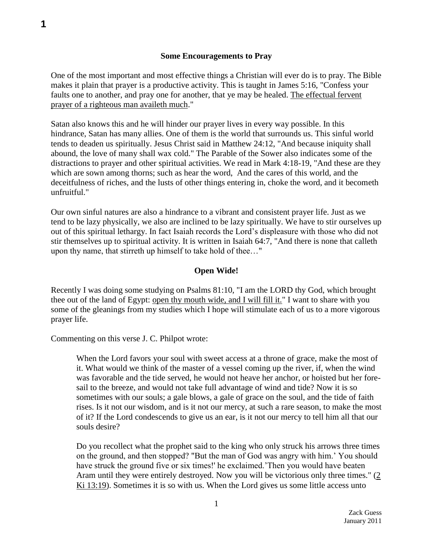## **Some Encouragements to Pray**

One of the most important and most effective things a Christian will ever do is to pray. The Bible makes it plain that prayer is a productive activity. This is taught in James 5:16, "Confess your faults one to another, and pray one for another, that ye may be healed. The effectual fervent prayer of a righteous man availeth much."

Satan also knows this and he will hinder our prayer lives in every way possible. In this hindrance, Satan has many allies. One of them is the world that surrounds us. This sinful world tends to deaden us spiritually. Jesus Christ said in Matthew 24:12, "And because iniquity shall abound, the love of many shall wax cold." The Parable of the Sower also indicates some of the distractions to prayer and other spiritual activities. We read in Mark 4:18-19, "And these are they which are sown among thorns; such as hear the word, And the cares of this world, and the deceitfulness of riches, and the lusts of other things entering in, choke the word, and it becometh unfruitful."

Our own sinful natures are also a hindrance to a vibrant and consistent prayer life. Just as we tend to be lazy physically, we also are inclined to be lazy spiritually. We have to stir ourselves up out of this spiritual lethargy. In fact Isaiah records the Lord's displeasure with those who did not stir themselves up to spiritual activity. It is written in Isaiah 64:7, "And there is none that calleth upon thy name, that stirreth up himself to take hold of thee…"

## **Open Wide!**

Recently I was doing some studying on Psalms 81:10, "I am the LORD thy God, which brought thee out of the land of Egypt: open thy mouth wide, and I will fill it." I want to share with you some of the gleanings from my studies which I hope will stimulate each of us to a more vigorous prayer life.

Commenting on this verse J. C. Philpot wrote:

When the Lord favors your soul with sweet access at a throne of grace, make the most of it. What would we think of the master of a vessel coming up the river, if, when the wind was favorable and the tide served, he would not heave her anchor, or hoisted but her foresail to the breeze, and would not take full advantage of wind and tide? Now it is so sometimes with our souls; a gale blows, a gale of grace on the soul, and the tide of faith rises. Is it not our wisdom, and is it not our mercy, at such a rare season, to make the most of it? If the Lord condescends to give us an ear, is it not our mercy to tell him all that our souls desire?

Do you recollect what the prophet said to the king who only struck his arrows three times on the ground, and then stopped? "But the man of God was angry with him.' You should have struck the ground five or six times!' he exclaimed.'Then you would have beaten Aram until they were entirely destroyed. Now you will be victorious only three times." [\(2](swordsearcher://bible/2Ki13.19)  Ki [13:19\)](swordsearcher://bible/2Ki13.19). Sometimes it is so with us. When the Lord gives us some little access unto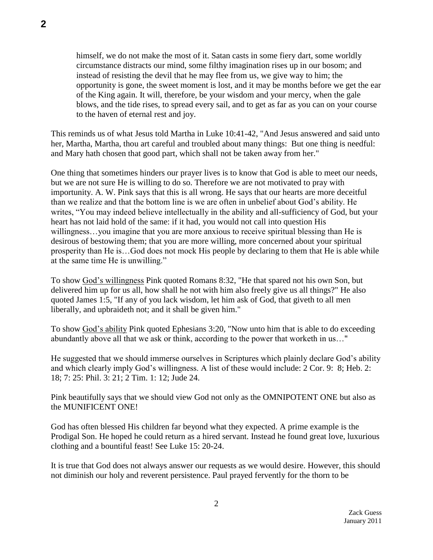himself, we do not make the most of it. Satan casts in some fiery dart, some worldly circumstance distracts our mind, some filthy imagination rises up in our bosom; and instead of resisting the devil that he may flee from us, we give way to him; the opportunity is gone, the sweet moment is lost, and it may be months before we get the ear of the King again. It will, therefore, be your wisdom and your mercy, when the gale blows, and the tide rises, to spread every sail, and to get as far as you can on your course to the haven of eternal rest and joy.

This reminds us of what Jesus told Martha in Luke 10:41-42, "And Jesus answered and said unto her, Martha, Martha, thou art careful and troubled about many things: But one thing is needful: and Mary hath chosen that good part, which shall not be taken away from her."

One thing that sometimes hinders our prayer lives is to know that God is able to meet our needs, but we are not sure He is willing to do so. Therefore we are not motivated to pray with importunity. A. W. Pink says that this is all wrong. He says that our hearts are more deceitful than we realize and that the bottom line is we are often in unbelief about God's ability. He writes, "You may indeed believe intellectually in the ability and all-sufficiency of God, but your heart has not laid hold of the same: if it had, you would not call into question His willingness…you imagine that you are more anxious to receive spiritual blessing than He is desirous of bestowing them; that you are more willing, more concerned about your spiritual prosperity than He is…God does not mock His people by declaring to them that He is able while at the same time He is unwilling."

To show God's willingness Pink quoted Romans 8:32, "He that spared not his own Son, but delivered him up for us all, how shall he not with him also freely give us all things?" He also quoted James 1:5, "If any of you lack wisdom, let him ask of God, that giveth to all men liberally, and upbraideth not; and it shall be given him."

To show God's ability Pink quoted Ephesians 3:20, "Now unto him that is able to do exceeding abundantly above all that we ask or think, according to the power that worketh in us…"

He suggested that we should immerse ourselves in Scriptures which plainly declare God's ability and which clearly imply God's willingness. A list of these would include: 2 Cor. 9: 8; Heb. 2: 18; 7: 25: Phil. 3: 21; 2 Tim. 1: 12; Jude 24.

Pink beautifully says that we should view God not only as the OMNIPOTENT ONE but also as the MUNIFICENT ONE!

God has often blessed His children far beyond what they expected. A prime example is the Prodigal Son. He hoped he could return as a hired servant. Instead he found great love, luxurious clothing and a bountiful feast! See Luke 15: 20-24.

It is true that God does not always answer our requests as we would desire. However, this should not diminish our holy and reverent persistence. Paul prayed fervently for the thorn to be

2